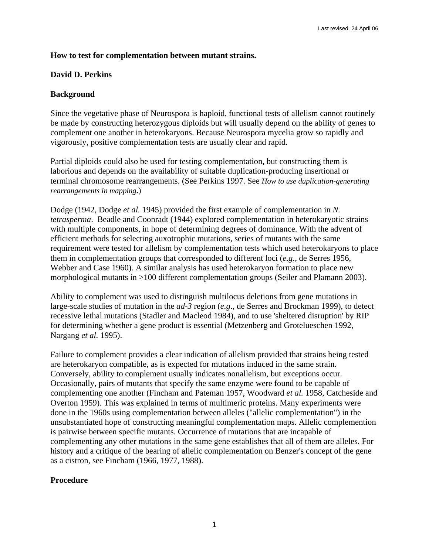## **How to test for complementation between mutant strains.**

## **David D. Perkins**

## **Background**

Since the vegetative phase of Neurospora is haploid, functional tests of allelism cannot routinely be made by constructing heterozygous diploids but will usually depend on the ability of genes to complement one another in heterokaryons. Because Neurospora mycelia grow so rapidly and vigorously, positive complementation tests are usually clear and rapid.

Partial diploids could also be used for testing complementation, but constructing them is laborious and depends on the availability of suitable duplication-producing insertional or terminal chromosome rearrangements. (See Perkins 1997. See *How to use duplication-generating rearrangements in mapping***.**)

Dodge (1942, Dodge *et al.* 1945) provided the first example of complementation in *N. tetrasperma*. Beadle and Coonradt (1944) explored complementation in heterokaryotic strains with multiple components, in hope of determining degrees of dominance. With the advent of efficient methods for selecting auxotrophic mutations, series of mutants with the same requirement were tested for allelism by complementation tests which used heterokaryons to place them in complementation groups that corresponded to different loci (*e.g*., de Serres 1956, Webber and Case 1960). A similar analysis has used heterokaryon formation to place new morphological mutants in >100 different complementation groups (Seiler and Plamann 2003).

Ability to complement was used to distinguish multilocus deletions from gene mutations in large-scale studies of mutation in the *ad-3* region (*e.g*., de Serres and Brockman 1999), to detect recessive lethal mutations (Stadler and Macleod 1984), and to use 'sheltered disruption' by RIP for determining whether a gene product is essential (Metzenberg and Grotelueschen 1992, Nargang *et al.* 1995).

Failure to complement provides a clear indication of allelism provided that strains being tested are heterokaryon compatible, as is expected for mutations induced in the same strain. Conversely, ability to complement usually indicates nonallelism, but exceptions occur. Occasionally, pairs of mutants that specify the same enzyme were found to be capable of complementing one another (Fincham and Pateman 1957, Woodward *et al.* 1958, Catcheside and Overton 1959). This was explained in terms of multimeric proteins. Many experiments were done in the 1960s using complementation between alleles ("allelic complementation") in the unsubstantiated hope of constructing meaningful complementation maps. Allelic complemention is pairwise between specific mutants. Occurrence of mutations that are incapable of complementing any other mutations in the same gene establishes that all of them are alleles. For history and a critique of the bearing of allelic complementation on Benzer's concept of the gene as a cistron, see Fincham (1966, 1977, 1988).

# **Procedure**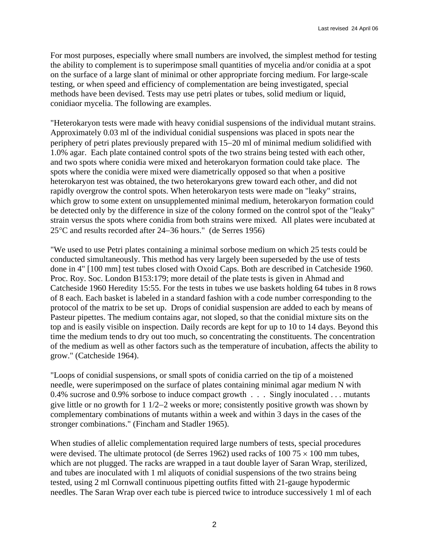For most purposes, especially where small numbers are involved, the simplest method for testing the ability to complement is to superimpose small quantities of mycelia and/or conidia at a spot on the surface of a large slant of minimal or other appropriate forcing medium. For large-scale testing, or when speed and efficiency of complementation are being investigated, special methods have been devised. Tests may use petri plates or tubes, solid medium or liquid, conidiaor mycelia. The following are examples.

"Heterokaryon tests were made with heavy conidial suspensions of the individual mutant strains. Approximately 0.03 ml of the individual conidial suspensions was placed in spots near the periphery of petri plates previously prepared with 15−20 ml of minimal medium solidified with 1.0% agar. Each plate contained control spots of the two strains being tested with each other, and two spots where conidia were mixed and heterokaryon formation could take place. The spots where the conidia were mixed were diametrically opposed so that when a positive heterokaryon test was obtained, the two heterokaryons grew toward each other, and did not rapidly overgrow the control spots. When heterokaryon tests were made on "leaky" strains, which grow to some extent on unsupplemented minimal medium, heterokaryon formation could be detected only by the difference in size of the colony formed on the control spot of the "leaky" strain versus the spots where conidia from both strains were mixed. All plates were incubated at 25°C and results recorded after 24−36 hours." (de Serres 1956)

"We used to use Petri plates containing a minimal sorbose medium on which 25 tests could be conducted simultaneously. This method has very largely been superseded by the use of tests done in 4" [100 mm] test tubes closed with Oxoid Caps. Both are described in Catcheside 1960. Proc. Roy. Soc. London B153:179; more detail of the plate tests is given in Ahmad and Catcheside 1960 Heredity 15:55. For the tests in tubes we use baskets holding 64 tubes in 8 rows of 8 each. Each basket is labeled in a standard fashion with a code number corresponding to the protocol of the matrix to be set up. Drops of conidial suspension are added to each by means of Pasteur pipettes. The medium contains agar, not sloped, so that the conidial mixture sits on the top and is easily visible on inspection. Daily records are kept for up to 10 to 14 days. Beyond this time the medium tends to dry out too much, so concentrating the constituents. The concentration of the medium as well as other factors such as the temperature of incubation, affects the ability to grow." (Catcheside 1964).

"Loops of conidial suspensions, or small spots of conidia carried on the tip of a moistened needle, were superimposed on the surface of plates containing minimal agar medium N with 0.4% sucrose and 0.9% sorbose to induce compact growth . . . Singly inoculated . . . mutants give little or no growth for 1 1/2−2 weeks or more; consistently positive growth was shown by complementary combinations of mutants within a week and within 3 days in the cases of the stronger combinations." (Fincham and Stadler 1965).

When studies of allelic complementation required large numbers of tests, special procedures were devised. The ultimate protocol (de Serres 1962) used racks of 100 75  $\times$  100 mm tubes, which are not plugged. The racks are wrapped in a taut double layer of Saran Wrap, sterilized, and tubes are inoculated with 1 ml aliquots of conidial suspensions of the two strains being tested, using 2 ml Cornwall continuous pipetting outfits fitted with 21-gauge hypodermic needles. The Saran Wrap over each tube is pierced twice to introduce successively 1 ml of each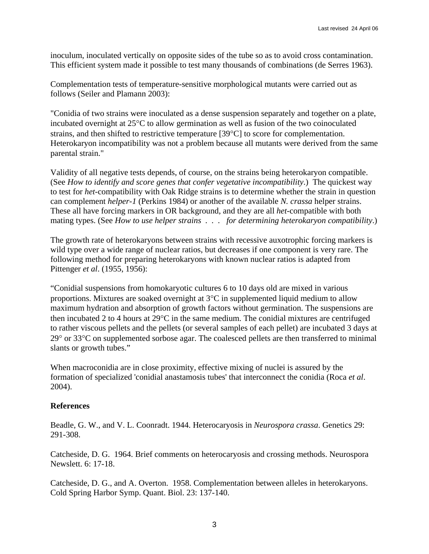inoculum, inoculated vertically on opposite sides of the tube so as to avoid cross contamination. This efficient system made it possible to test many thousands of combinations (de Serres 1963).

Complementation tests of temperature-sensitive morphological mutants were carried out as follows (Seiler and Plamann 2003):

"Conidia of two strains were inoculated as a dense suspension separately and together on a plate, incubated overnight at 25°C to allow germination as well as fusion of the two coinoculated strains, and then shifted to restrictive temperature [39°C] to score for complementation. Heterokaryon incompatibility was not a problem because all mutants were derived from the same parental strain."

Validity of all negative tests depends, of course, on the strains being heterokaryon compatible. (See *How to identify and score genes that confer vegetative incompatibility*.) The quickest way to test for *het*-compatibility with Oak Ridge strains is to determine whether the strain in question can complement *helper-1* (Perkins 1984) or another of the available *N. crassa* helper strains. These all have forcing markers in OR background, and they are all *het*-compatible with both mating types. (See *How to use helper strains . . . for determining heterokaryon compatibility*.)

The growth rate of heterokaryons between strains with recessive auxotrophic forcing markers is wild type over a wide range of nuclear ratios, but decreases if one component is very rare. The following method for preparing heterokaryons with known nuclear ratios is adapted from Pittenger *et al*. (1955, 1956):

"Conidial suspensions from homokaryotic cultures 6 to 10 days old are mixed in various proportions. Mixtures are soaked overnight at 3°C in supplemented liquid medium to allow maximum hydration and absorption of growth factors without germination. The suspensions are then incubated 2 to 4 hours at 29°C in the same medium. The conidial mixtures are centrifuged to rather viscous pellets and the pellets (or several samples of each pellet) are incubated 3 days at 29° or 33°C on supplemented sorbose agar. The coalesced pellets are then transferred to minimal slants or growth tubes."

When macroconidia are in close proximity, effective mixing of nuclei is assured by the formation of specialized 'conidial anastamosis tubes' that interconnect the conidia (Roca *et al*. 2004).

# **References**

Beadle, G. W., and V. L. Coonradt. 1944. Heterocaryosis in *Neurospora crassa*. Genetics 29: 291-308.

Catcheside, D. G. 1964. Brief comments on heterocaryosis and crossing methods. Neurospora Newslett. 6: 17-18.

Catcheside, D. G., and A. Overton. 1958. Complementation between alleles in heterokaryons. Cold Spring Harbor Symp. Quant. Biol. 23: 137-140.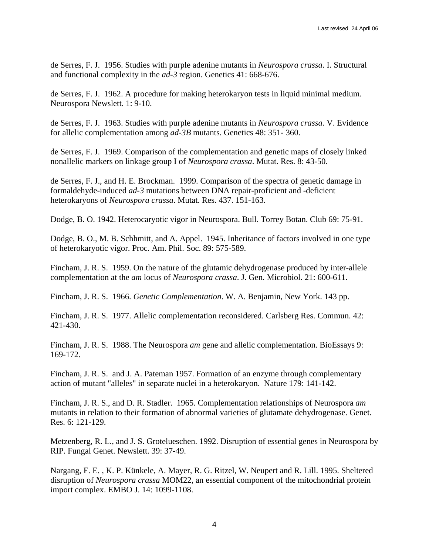de Serres, F. J. 1956. Studies with purple adenine mutants in *Neurospora crassa*. I. Structural and functional complexity in the *ad-3* region. Genetics 41: 668-676.

de Serres, F. J. 1962. A procedure for making heterokaryon tests in liquid minimal medium. Neurospora Newslett. 1: 9-10.

de Serres, F. J. 1963. Studies with purple adenine mutants in *Neurospora crassa.* V. Evidence for allelic complementation among *ad-3B* mutants. Genetics 48: 351- 360.

de Serres, F. J. 1969. Comparison of the complementation and genetic maps of closely linked nonallelic markers on linkage group I of *Neurospora crassa*. Mutat. Res. 8: 43-50.

de Serres, F. J., and H. E. Brockman. 1999. Comparison of the spectra of genetic damage in formaldehyde-induced *ad-3* mutations between DNA repair-proficient and -deficient heterokaryons of *Neurospora crassa*. Mutat. Res. 437. 151-163.

Dodge, B. O. 1942. Heterocaryotic vigor in Neurospora. Bull. Torrey Botan. Club 69: 75-91.

Dodge, B. O., M. B. Schhmitt, and A. Appel. 1945. Inheritance of factors involved in one type of heterokaryotic vigor. Proc. Am. Phil. Soc. 89: 575-589.

Fincham, J. R. S. 1959. On the nature of the glutamic dehydrogenase produced by inter-allele complementation at the *am* locus of *Neurospora crassa*. J. Gen. Microbiol. 21: 600-611.

Fincham, J. R. S. 1966. *Genetic Complementation*. W. A. Benjamin, New York. 143 pp.

Fincham, J. R. S. 1977. Allelic complementation reconsidered. Carlsberg Res. Commun. 42: 421-430.

Fincham, J. R. S. 1988. The Neurospora *am* gene and allelic complementation. BioEssays 9: 169-172.

Fincham, J. R. S. and J. A. Pateman 1957. Formation of an enzyme through complementary action of mutant "alleles" in separate nuclei in a heterokaryon. Nature 179: 141-142.

Fincham, J. R. S., and D. R. Stadler. 1965. Complementation relationships of Neurospora *am* mutants in relation to their formation of abnormal varieties of glutamate dehydrogenase. Genet. Res. 6: 121-129.

Metzenberg, R. L., and J. S. Grotelueschen. 1992. Disruption of essential genes in Neurospora by RIP. Fungal Genet. Newslett. 39: 37-49.

Nargang, F. E. , K. P. Künkele, A. Mayer, R. G. Ritzel, W. Neupert and R. Lill. 1995. Sheltered disruption of *Neurospora crassa* MOM22, an essential component of the mitochondrial protein import complex. EMBO J. 14: 1099-1108.